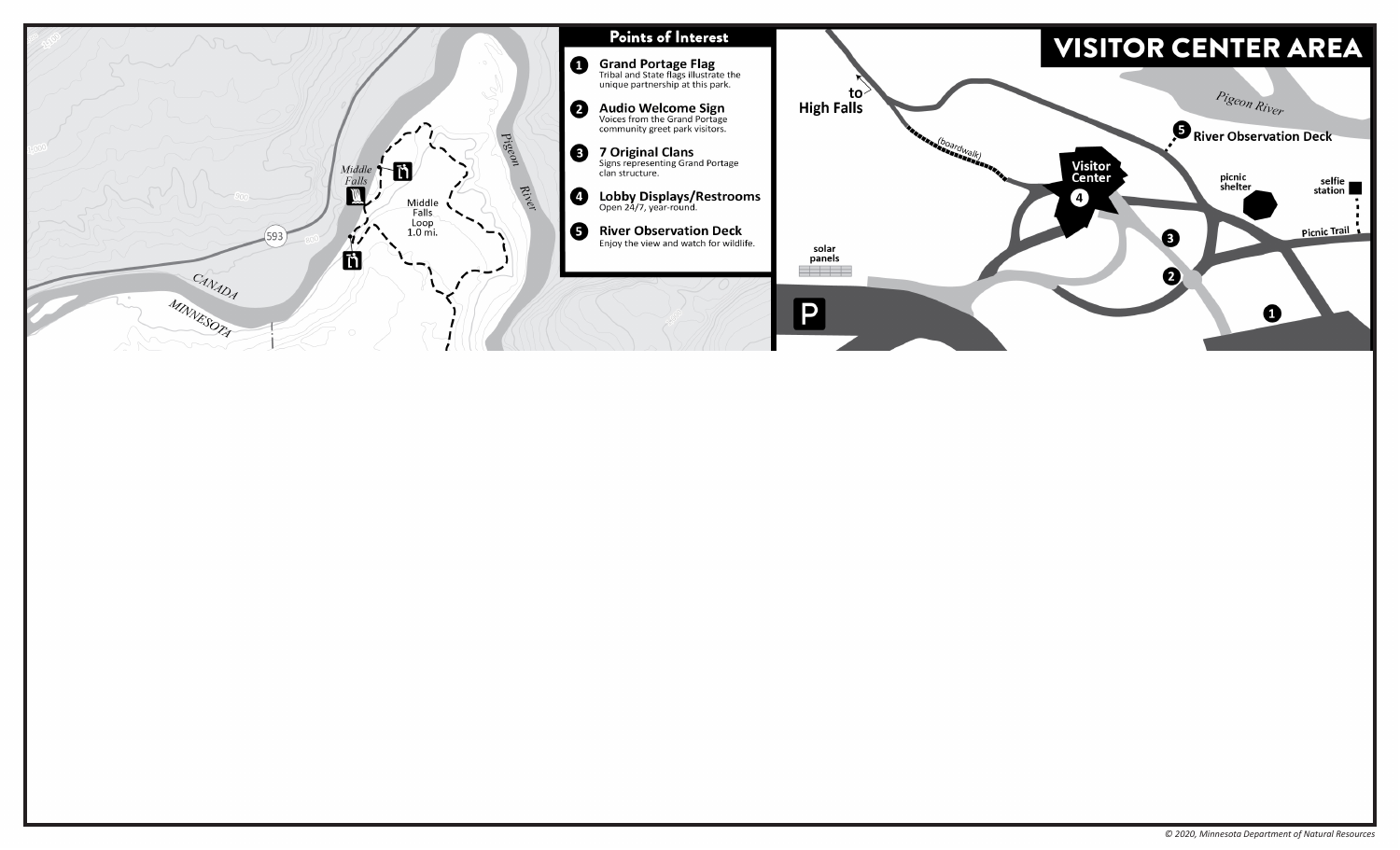